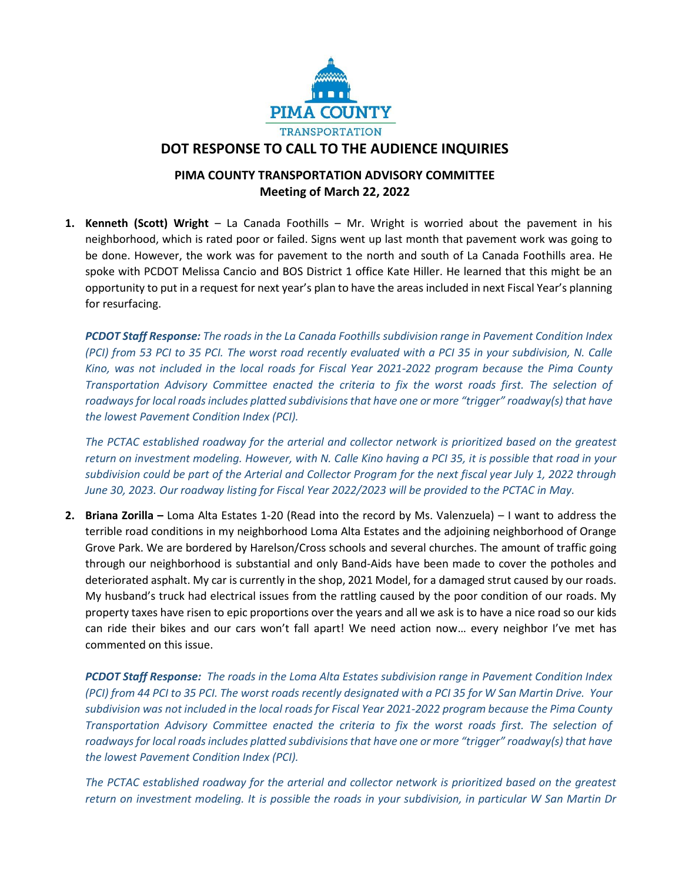

## **DOT RESPONSE TO CALL TO THE AUDIENCE INQUIRIES**

## **PIMA COUNTY TRANSPORTATION ADVISORY COMMITTEE Meeting of March 22, 2022**

**1. Kenneth (Scott) Wright** – La Canada Foothills – Mr. Wright is worried about the pavement in his neighborhood, which is rated poor or failed. Signs went up last month that pavement work was going to be done. However, the work was for pavement to the north and south of La Canada Foothills area. He spoke with PCDOT Melissa Cancio and BOS District 1 office Kate Hiller. He learned that this might be an opportunity to put in a request for next year's plan to have the areas included in next Fiscal Year's planning for resurfacing.

*PCDOT Staff Response: The roads in the La Canada Foothills subdivision range in Pavement Condition Index (PCI) from 53 PCI to 35 PCI. The worst road recently evaluated with a PCI 35 in your subdivision, N. Calle Kino, was not included in the local roads for Fiscal Year 2021-2022 program because the Pima County Transportation Advisory Committee enacted the criteria to fix the worst roads first. The selection of roadways for local roads includes platted subdivisions that have one or more "trigger" roadway(s) that have the lowest Pavement Condition Index (PCI).* 

*The PCTAC established roadway for the arterial and collector network is prioritized based on the greatest return on investment modeling. However, with N. Calle Kino having a PCI 35, it is possible that road in your subdivision could be part of the Arterial and Collector Program for the next fiscal year July 1, 2022 through June 30, 2023. Our roadway listing for Fiscal Year 2022/2023 will be provided to the PCTAC in May.*

**2. Briana Zorilla –** Loma Alta Estates 1-20 (Read into the record by Ms. Valenzuela) – I want to address the terrible road conditions in my neighborhood Loma Alta Estates and the adjoining neighborhood of Orange Grove Park. We are bordered by Harelson/Cross schools and several churches. The amount of traffic going through our neighborhood is substantial and only Band-Aids have been made to cover the potholes and deteriorated asphalt. My car is currently in the shop, 2021 Model, for a damaged strut caused by our roads. My husband's truck had electrical issues from the rattling caused by the poor condition of our roads. My property taxes have risen to epic proportions over the years and all we ask is to have a nice road so our kids can ride their bikes and our cars won't fall apart! We need action now… every neighbor I've met has commented on this issue.

*PCDOT Staff Response: The roads in the Loma Alta Estates subdivision range in Pavement Condition Index (PCI) from 44 PCI to 35 PCI. The worst roads recently designated with a PCI 35 for W San Martin Drive. Your subdivision was not included in the local roads for Fiscal Year 2021-2022 program because the Pima County Transportation Advisory Committee enacted the criteria to fix the worst roads first. The selection of roadways for local roads includes platted subdivisions that have one or more "trigger" roadway(s) that have the lowest Pavement Condition Index (PCI).* 

*The PCTAC established roadway for the arterial and collector network is prioritized based on the greatest return on investment modeling. It is possible the roads in your subdivision, in particular W San Martin Dr*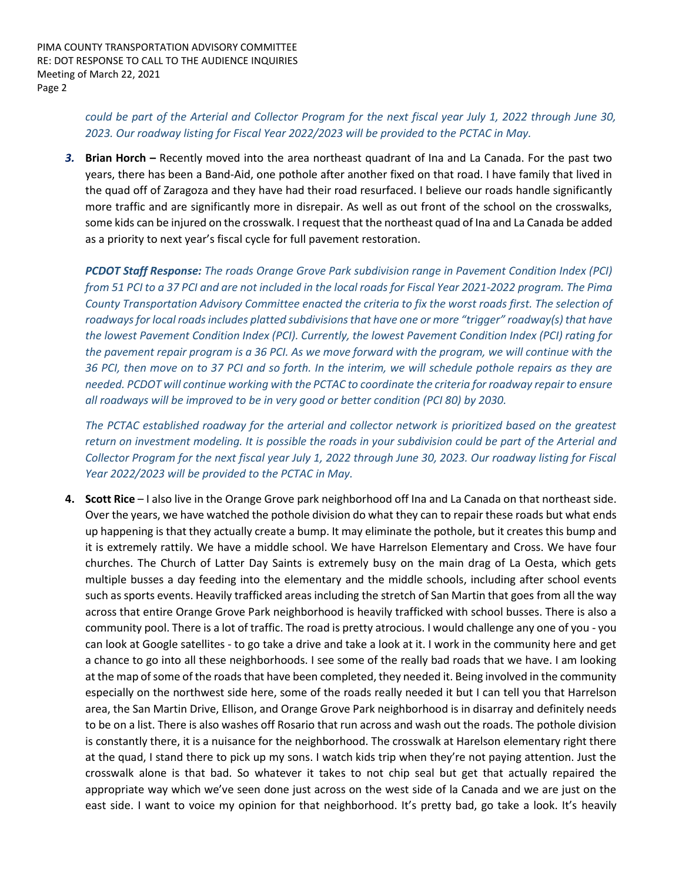*could be part of the Arterial and Collector Program for the next fiscal year July 1, 2022 through June 30, 2023. Our roadway listing for Fiscal Year 2022/2023 will be provided to the PCTAC in May.*

*3.* **Brian Horch –** Recently moved into the area northeast quadrant of Ina and La Canada. For the past two years, there has been a Band-Aid, one pothole after another fixed on that road. I have family that lived in the quad off of Zaragoza and they have had their road resurfaced. I believe our roads handle significantly more traffic and are significantly more in disrepair. As well as out front of the school on the crosswalks, some kids can be injured on the crosswalk. I request that the northeast quad of Ina and La Canada be added as a priority to next year's fiscal cycle for full pavement restoration.

*PCDOT Staff Response: The roads Orange Grove Park subdivision range in Pavement Condition Index (PCI) from 51 PCI to a 37 PCI and are not included in the local roads for Fiscal Year 2021-2022 program. The Pima County Transportation Advisory Committee enacted the criteria to fix the worst roads first. The selection of roadways for local roads includes platted subdivisions that have one or more "trigger" roadway(s) that have the lowest Pavement Condition Index (PCI). Currently, the lowest Pavement Condition Index (PCI) rating for the pavement repair program is a 36 PCI. As we move forward with the program, we will continue with the 36 PCI, then move on to 37 PCI and so forth. In the interim, we will schedule pothole repairs as they are needed. PCDOT will continue working with the PCTAC to coordinate the criteria for roadway repair to ensure all roadways will be improved to be in very good or better condition (PCI 80) by 2030.*

*The PCTAC established roadway for the arterial and collector network is prioritized based on the greatest return on investment modeling. It is possible the roads in your subdivision could be part of the Arterial and Collector Program for the next fiscal year July 1, 2022 through June 30, 2023. Our roadway listing for Fiscal Year 2022/2023 will be provided to the PCTAC in May.*

**4. Scott Rice** – I also live in the Orange Grove park neighborhood off Ina and La Canada on that northeast side. Over the years, we have watched the pothole division do what they can to repair these roads but what ends up happening is that they actually create a bump. It may eliminate the pothole, but it creates this bump and it is extremely rattily. We have a middle school. We have Harrelson Elementary and Cross. We have four churches. The Church of Latter Day Saints is extremely busy on the main drag of La Oesta, which gets multiple busses a day feeding into the elementary and the middle schools, including after school events such as sports events. Heavily trafficked areas including the stretch of San Martin that goes from all the way across that entire Orange Grove Park neighborhood is heavily trafficked with school busses. There is also a community pool. There is a lot of traffic. The road is pretty atrocious. I would challenge any one of you - you can look at Google satellites - to go take a drive and take a look at it. I work in the community here and get a chance to go into all these neighborhoods. I see some of the really bad roads that we have. I am looking at the map of some of the roads that have been completed, they needed it. Being involved in the community especially on the northwest side here, some of the roads really needed it but I can tell you that Harrelson area, the San Martin Drive, Ellison, and Orange Grove Park neighborhood is in disarray and definitely needs to be on a list. There is also washes off Rosario that run across and wash out the roads. The pothole division is constantly there, it is a nuisance for the neighborhood. The crosswalk at Harelson elementary right there at the quad, I stand there to pick up my sons. I watch kids trip when they're not paying attention. Just the crosswalk alone is that bad. So whatever it takes to not chip seal but get that actually repaired the appropriate way which we've seen done just across on the west side of la Canada and we are just on the east side. I want to voice my opinion for that neighborhood. It's pretty bad, go take a look. It's heavily